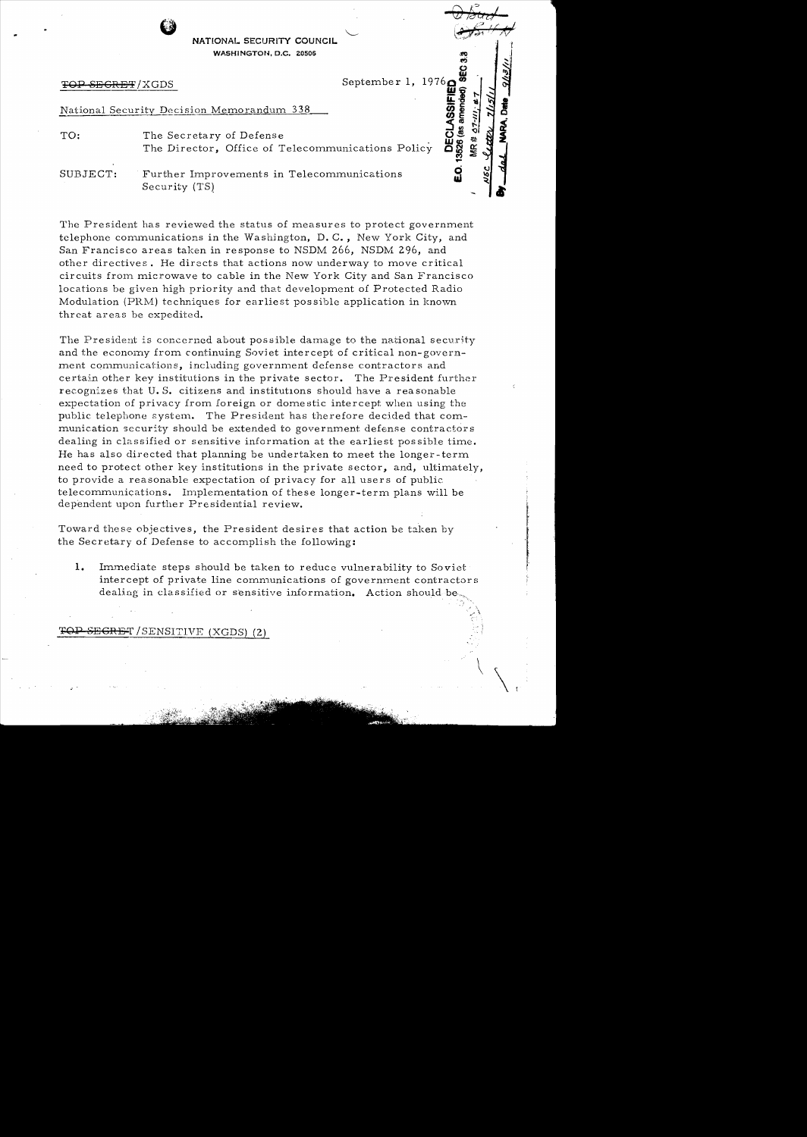NATIONAL SECURITY COUNCIL **WASHINGTON, D.C. 20506** 

13526 (as amended)

 $\tilde{S}$ 

,. \

#### National Security Decision Memorandum 338

TOP SECRET/XGDS<br>
September 1, 1976<br>
(ational Security Decision Memorandum 338<br>
O: The Secretary of Defense<br>
The Director, Office of Telecommunications Policy TO: The Secretary of Defense The Director, Office of Telecommunications Policy

SUBJECT: Further Improvements in Telecommunications Security (TS)

The President has reviewed the status of measures to protect government telephone communications in the Washington, D. C., New York City, and San Francisco areas taken in response to NSDM 266, NSDM 296, and other directives. He directs that actions now underway to move critical circuits from microwave to cable in the New York City and San Francisco locations be given high priority and that development of Protected Radio Modulation (PRM) techniques for earliest possible application in known threat areas be expedited.

The President is concerned about possible damage to the national security and the economy from continuing Soviet intercept of critical non-government communications, including government defense contractors and certain other key institutions in the private sector. The President further recognizes that U.S. citizens and institutions should have a reasonable expectation of privacy from foreign or domestic intercept when using the public telephone system. The President has therefore decided that communication security should be extended to government defense contractors dealing in classified or sensitive information at the earliest possible time. He has also directed that planning be undertaken to meet the longer - term need to protect other key institutions in the private sector, and, ultimately, to provide a reasonable expectation of privacy for all users of public telecommunications. Implementation of these longer-term plans will be dependent upon further Presidential review.

Toward these objectives, the President desires that action be taken by the Secretary of Defense to accomplish the following:

1. Immediate steps should be taken to reduce vulnerability to Soviet intercept of private line communications of government contractors dealing in classified or sensitive information. Action should be

## **FEGRET** / SENSITIVE (XGDS) (2)

" .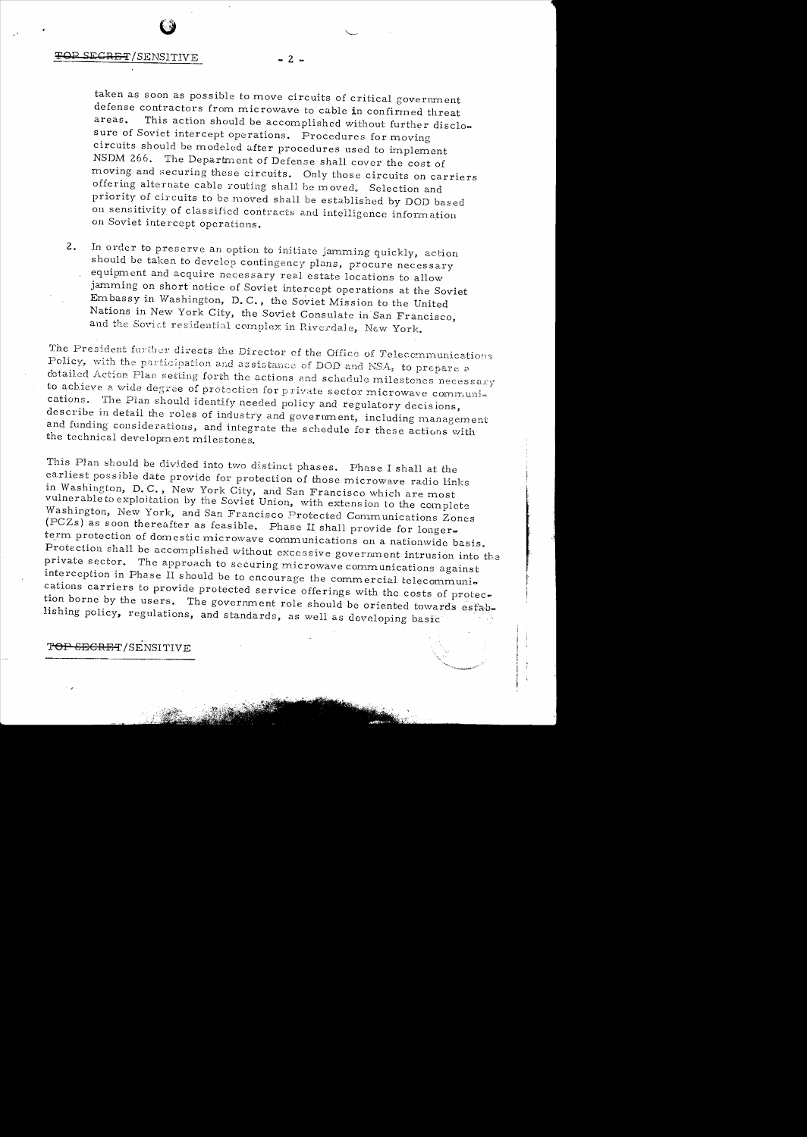### SECRET/SENSITIVE

taken as soon as possible to move circuits of critical government defense contractors from microwave to cable in confirmed threat This action should be accomplished without further discloareas. sure of Soviet intercept operations. Procedures for moving circuits should be modeled after procedures used to implement The Department of Defense shall cover the cost of NSDM 266. moving and securing these circuits. Only those circuits on carriers offering alternate cable routing shall be moved. Selection and priority of circuits to be moved shall be established by DOD based on sensitivity of classified contracts and intelligence information on Soviet intercept operations.

 $-2 -$ 

In order to preserve an option to initiate jamming quickly, action  $2.$ should be taken to develop contingency plans, procure necessary equipment and acquire necessary real estate locations to allow jamming on short notice of Soviet intercept operations at the Soviet Embassy in Washington, D.C., the Soviet Mission to the United Nations in New York City, the Soviet Consulate in San Francisco, and the Soviet residential complex in Riverdale, New York.

The President further directs the Director of the Office of Telecommunications Policy, with the participation and assistance of DOD and NSA, to prepare a detailed Action Plan setting forth the actions and schedule milestones necessary to achieve a wide degree of protection for private sector microwave communications. The Plan should identify needed policy and regulatory decisions, describe in detail the roles of industry and government, including management and funding considerations, and integrate the schedule for these actions with the technical development milestones.

This Plan should be divided into two distinct phases. Phase I shall at the earliest possible date provide for protection of those microwave radio links in Washington, D.C., New York City, and San Francisco which are most vulnerable to exploitation by the Soviet Union, with extension to the complete Washington, New York, and San Francisco Protected Communications Zones (PCZs) as soon thereafter as feasible. Phase II shall provide for longerterm protection of domestic microwave communications on a nationwide basis. Protection shall be accomplished without excessive government intrusion into the private sector. The approach to securing microwave communications against interception in Phase II should be to encourage the commercial telecommunications carriers to provide protected service offerings with the costs of protection borne by the users. The government role should be oriented towards establishing policy, regulations, and standards, as well as developing basic

TOP SECRET/SENSITIVE